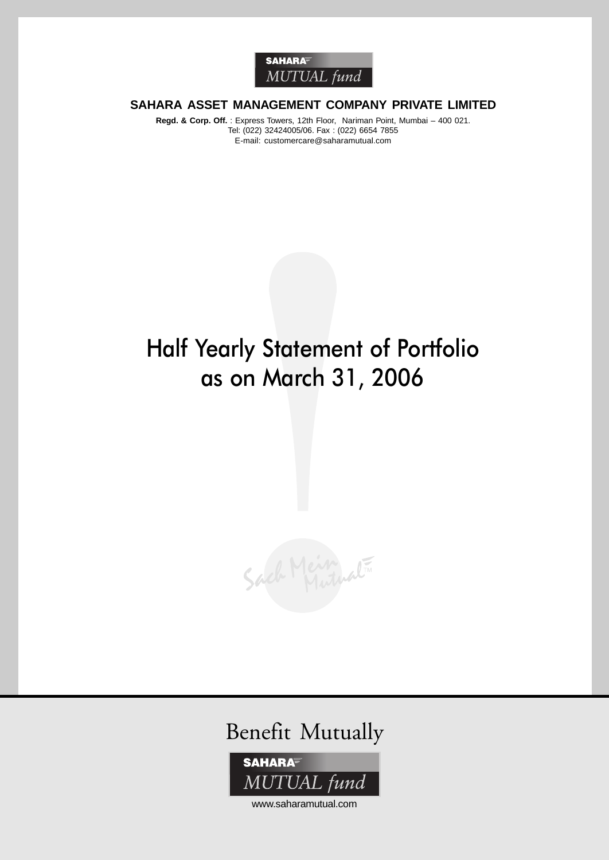

# **SAHARA ASSET MANAGEMENT COMPANY PRIVATE LIMITED**

**Regd. & Corp. Off.** : Express Towers, 12th Floor, Nariman Point, Mumbai – 400 021. Tel: (022) 32424005/06. Fax : (022) 6654 7855 E-mail: customercare@saharamutual.com

# Half Yearly Statement of Portfolio as on March 31, 2006







www.saharamutual.com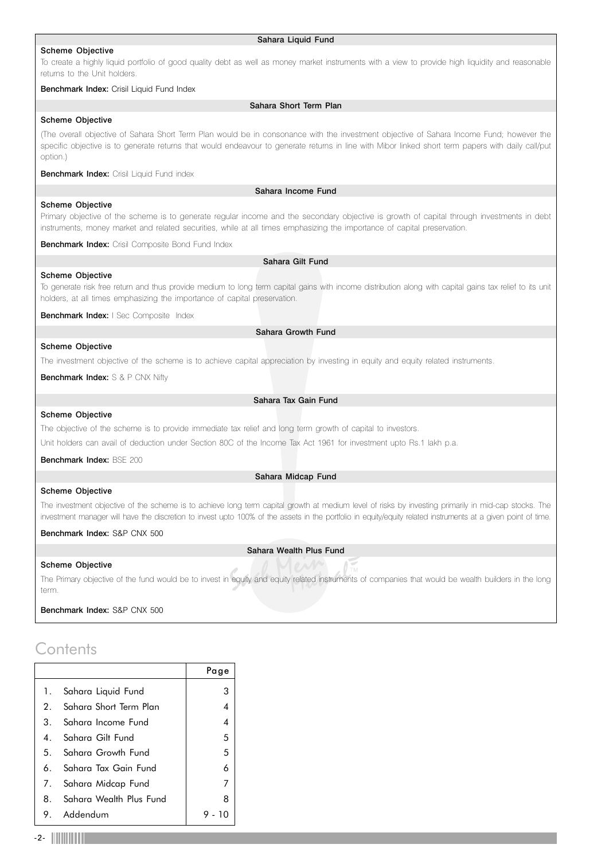### Scheme Objective

### Sahara Liquid Fund

To create a highly liquid portfolio of good quality debt as well as money market instruments with a view to provide high liquidity and reasonable returns to the Unit holders.

### Benchmark Index: Crisil Liquid Fund Index

### Sahara Short Term Plan

### Scheme Objective

(The overall objective of Sahara Short Term Plan would be in consonance with the investment objective of Sahara Income Fund; however the specific objective is to generate returns that would endeavour to generate returns in line with Mibor linked short term papers with daily call/put option.)

**Benchmark Index:** Crisil Liquid Fund index

Sahara Income Fund

# Scheme Objective

Scheme Objective

Primary objective of the scheme is to generate regular income and the secondary objective is growth of capital through investments in debt instruments, money market and related securities, while at all times emphasizing the importance of capital preservation.

**Benchmark Index:** Crisil Composite Bond Fund Index

# Sahara Gilt Fund

To generate risk free return and thus provide medium to long term capital gains with income distribution along with capital gains tax relief to its unit holders, at all times emphasizing the importance of capital preservation.

Benchmark Index: I Sec Composite Index

Sahara Growth Fund

### Scheme Objective

The investment objective of the scheme is to achieve capital appreciation by investing in equity and equity related instruments.

Benchmark Index: S & P CNX Nifty

### Sahara Tax Gain Fund

### Scheme Objective

The objective of the scheme is to provide immediate tax relief and long term growth of capital to investors.

Unit holders can avail of deduction under Section 80C of the Income Tax Act 1961 for investment upto Rs.1 lakh p.a.

Benchmark Index: BSE 200

### Sahara Midcap Fund

### Scheme Objective

Scheme Objective

The investment objective of the scheme is to achieve long term capital growth at medium level of risks by investing primarily in mid-cap stocks. The investment manager will have the discretion to invest upto 100% of the assets in the portfolio in equity/equity related instruments at a given point of time.

### Benchmark Index: S&P CNX 500

### Sahara Wealth Plus Fund

The Primary objective of the fund would be to invest in equity and equity related instruments of companies that would be wealth builders in the long term.

Benchmark Index: S&P CNX 500

# **Contents**

|    |                           | Page |
|----|---------------------------|------|
| 1. | Sahara Liquid Fund        | 3    |
|    | 2. Sahara Short Term Plan | 4    |
|    | 3. Sahara Income Fund     | 4    |
|    | 4. Sahara Gilt Fund       | 5    |
|    | 5. Sahara Growth Fund     | 5    |
|    | 6. Sahara Tax Gain Fund   | 6    |
|    | 7. Sahara Midcap Fund     | 7    |
| 8. | Sahara Wealth Plus Fund   | 8    |
|    | 9. Addendum               |      |
|    |                           |      |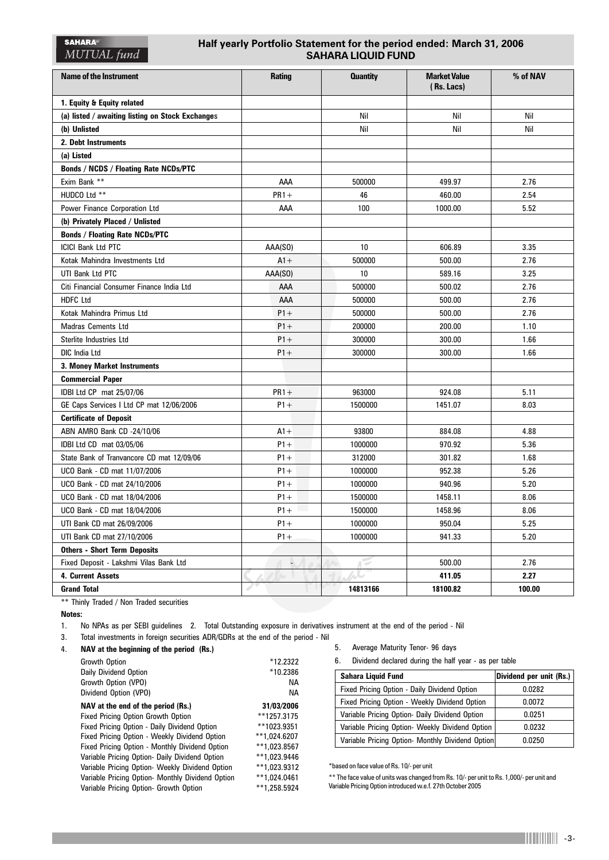# **Half yearly Portfolio Statement for the period ended: March 31, 2006 SAHARA LIQUID FUND**

| <b>Name of the Instrument</b>                    | <b>Rating</b> | <b>Quantity</b> | <b>Market Value</b><br>(Rs. Lacs) | % of NAV |
|--------------------------------------------------|---------------|-----------------|-----------------------------------|----------|
| 1. Equity & Equity related                       |               |                 |                                   |          |
| (a) listed / awaiting listing on Stock Exchanges |               | Nil             | Nil                               | Nil      |
| (b) Unlisted                                     |               | Nil             | Nil                               | Nil      |
| 2. Debt Instruments                              |               |                 |                                   |          |
| (a) Listed                                       |               |                 |                                   |          |
| <b>Bonds / NCDS / Floating Rate NCDs/PTC</b>     |               |                 |                                   |          |
| Exim Bank **                                     | AAA           | 500000          | 499.97                            | 2.76     |
| HUDCO Ltd **                                     | $PR1 +$       | 46              | 460.00                            | 2.54     |
| Power Finance Corporation Ltd                    | AAA           | 100             | 1000.00                           | 5.52     |
| (b) Privately Placed / Unlisted                  |               |                 |                                   |          |
| <b>Bonds / Floating Rate NCDs/PTC</b>            |               |                 |                                   |          |
| <b>ICICI Bank Ltd PTC</b>                        | AAA(SO)       | 10              | 606.89                            | 3.35     |
| Kotak Mahindra Investments Ltd                   | $A1 +$        | 500000          | 500.00                            | 2.76     |
| UTI Bank Ltd PTC                                 | AAA(SO)       | 10              | 589.16                            | 3.25     |
| Citi Financial Consumer Finance India Ltd        | AAA           | 500000          | 500.02                            | 2.76     |
| <b>HDFC Ltd</b>                                  | AAA           | 500000          | 500.00                            | 2.76     |
| Kotak Mahindra Primus Ltd                        | $P1 +$        | 500000          | 500.00                            | 2.76     |
| <b>Madras Cements Ltd</b>                        | $P1+$         | 200000          | 200.00                            | 1.10     |
| Sterlite Industries Ltd                          | $P1+$         | 300000          | 300.00                            | 1.66     |
| <b>DIC India Ltd</b>                             | $P1+$         | 300000          | 300.00                            | 1.66     |
| 3. Money Market Instruments                      |               |                 |                                   |          |
| <b>Commercial Paper</b>                          |               |                 |                                   |          |
| IDBI Ltd CP mat 25/07/06                         | $PR1 +$       | 963000          | 924.08                            | 5.11     |
| GE Caps Services I Ltd CP mat 12/06/2006         | $P1+$         | 1500000         | 1451.07                           | 8.03     |
| <b>Certificate of Deposit</b>                    |               |                 |                                   |          |
| ABN AMRO Bank CD -24/10/06                       | $A1+$         | 93800           | 884.08                            | 4.88     |
| IDBI Ltd CD mat 03/05/06                         | $P1 +$        | 1000000         | 970.92                            | 5.36     |
| State Bank of Tranvancore CD mat 12/09/06        | $P1+$         | 312000          | 301.82                            | 1.68     |
| UCO Bank - CD mat 11/07/2006                     | $P1 +$        | 1000000         | 952.38                            | 5.26     |
| UCO Bank - CD mat 24/10/2006                     | $P1 +$        | 1000000         | 940.96                            | 5.20     |
| UCO Bank - CD mat 18/04/2006                     | $P1+$         | 1500000         | 1458.11                           | 8.06     |
| UCO Bank - CD mat 18/04/2006                     | $P1+$         | 1500000         | 1458.96                           | 8.06     |
| UTI Bank CD mat 26/09/2006                       | $P1+$         | 1000000         | 950.04                            | 5.25     |
| UTI Bank CD mat 27/10/2006                       | $P1 +$        | 1000000         | 941.33                            | 5.20     |
| <b>Others - Short Term Deposits</b>              |               |                 |                                   |          |
| Fixed Deposit - Lakshmi Vilas Bank Ltd           | L.            |                 | 500.00                            | 2.76     |
| 4. Current Assets                                |               |                 | 411.05                            | 2.27     |
| <b>Grand Total</b>                               |               | 14813166        | 18100.82                          | 100.00   |

\*\* Thinly Traded / Non Traded securities

**Notes:**

1. No NPAs as per SEBI guidelines 2. Total Outstanding exposure in derivatives instrument at the end of the period - Nil

3. Total investments in foreign securities ADR/GDRs at the end of the period - Nil

| 4. | NAV at the beginning of the period (Rs.) |  |  |
|----|------------------------------------------|--|--|
|    |                                          |  |  |

| Growth Option                                    | *12.2322     |
|--------------------------------------------------|--------------|
| Daily Dividend Option                            | *10.2386     |
| Growth Option (VPO)                              | <b>NA</b>    |
| Dividend Option (VPO)                            | NА           |
| NAV at the end of the period (Rs.)               | 31/03/2006   |
| <b>Fixed Pricing Option Growth Option</b>        | **1257.3175  |
| Fixed Pricing Option - Daily Dividend Option     | **1023.9351  |
| Fixed Pricing Option - Weekly Dividend Option    | **1,024.6207 |
| Fixed Pricing Option - Monthly Dividend Option   | **1.023.8567 |
| Variable Pricing Option- Daily Dividend Option   | **1,023.9446 |
| Variable Pricing Option- Weekly Dividend Option  | **1,023.9312 |
| Variable Pricing Option- Monthly Dividend Option | **1,024.0461 |
| Variable Pricing Option- Growth Option           | **1,258.5924 |
|                                                  |              |

- 5. Average Maturity Tenor- 96 days
- 6. Dividend declared during the half year as per table

| Sahara Liguid Fund                               | Dividend per unit (Rs.) |
|--------------------------------------------------|-------------------------|
| Fixed Pricing Option - Daily Dividend Option     | 0.0282                  |
| Fixed Pricing Option - Weekly Dividend Option    | 0.0072                  |
| Variable Pricing Option- Daily Dividend Option   | 0.0251                  |
| Variable Pricing Option- Weekly Dividend Option  | 0.0232                  |
| Variable Pricing Option- Monthly Dividend Option | 0.0250                  |

\*based on face value of Rs. 10/- per unit

\*\* The face value of units was changed from Rs. 10/- per unit to Rs. 1,000/- per unit and Variable Pricing Option introduced w.e.f. 27th October 2005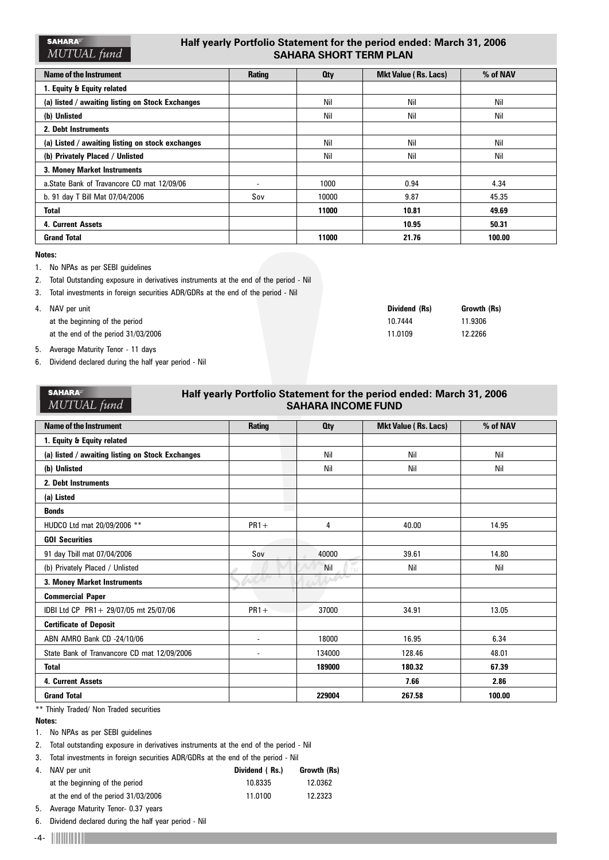# **Half yearly Portfolio Statement for the period ended: March 31, 2006 SAHARA SHORT TERM PLAN**

| Name of the Instrument                           | <b>Rating</b>            | <b>Oty</b> | <b>Mkt Value (Rs. Lacs)</b> | % of NAV |
|--------------------------------------------------|--------------------------|------------|-----------------------------|----------|
| 1. Equity & Equity related                       |                          |            |                             |          |
| (a) listed / awaiting listing on Stock Exchanges |                          | Nil        | Nil                         | Nil      |
| (b) Unlisted                                     |                          | Nil        | Nil                         | Nil      |
| 2. Debt Instruments                              |                          |            |                             |          |
| (a) Listed / awaiting listing on stock exchanges |                          | Nil        | Nil                         | Nil      |
| (b) Privately Placed / Unlisted                  |                          | Nil        | Nil                         | Nil      |
| 3. Money Market Instruments                      |                          |            |                             |          |
| a.State Bank of Travancore CD mat 12/09/06       | $\overline{\phantom{a}}$ | 1000       | 0.94                        | 4.34     |
| b. 91 day T Bill Mat 07/04/2006                  | Sov                      | 10000      | 9.87                        | 45.35    |
| <b>Total</b>                                     |                          | 11000      | 10.81                       | 49.69    |
| 4. Current Assets                                |                          |            | 10.95                       | 50.31    |
| <b>Grand Total</b>                               |                          | 11000      | 21.76                       | 100.00   |

### **Notes:**

1. No NPAs as per SEBI guidelines

- 2. Total Outstanding exposure in derivatives instruments at the end of the period Nil
- 3. Total investments in foreign securities ADR/GDRs at the end of the period Nil
- 4. NAV per unit **Dividend (Rs) Growth (Rs)** at the beginning of the period at the end of the period 31/03/2006

| <b>Growth (Rs</b> |  |
|-------------------|--|
| 11.9306           |  |
| 12.2266           |  |
|                   |  |

- 5. Average Maturity Tenor 11 days
- 6. Dividend declared during the half year period Nil

| <b>SAHARA</b><br>Half yearly Portfolio Statement for the period ended: March 31, 2006<br>MUTUAL fund<br><b>SAHARA INCOME FUND</b> |               |            |                             |          |  |  |
|-----------------------------------------------------------------------------------------------------------------------------------|---------------|------------|-----------------------------|----------|--|--|
| <b>Name of the Instrument</b>                                                                                                     | <b>Rating</b> | <b>Oty</b> | <b>Mkt Value (Rs. Lacs)</b> | % of NAV |  |  |
| 1. Equity & Equity related                                                                                                        |               |            |                             |          |  |  |
| (a) listed / awaiting listing on Stock Exchanges                                                                                  |               | Nil        | Nil                         | Nil      |  |  |
| (b) Unlisted                                                                                                                      |               | Nil        | Nil                         | Nil      |  |  |
| 2. Debt Instruments                                                                                                               |               |            |                             |          |  |  |
| (a) Listed                                                                                                                        |               |            |                             |          |  |  |
| <b>Bonds</b>                                                                                                                      |               |            |                             |          |  |  |
| HUDCO Ltd mat 20/09/2006 **                                                                                                       | $PR1 +$       | 4          | 40.00                       | 14.95    |  |  |
| <b>GOI Securities</b>                                                                                                             |               |            |                             |          |  |  |
| 91 day Tbill mat 07/04/2006                                                                                                       | Sov           | 40000      | 39.61                       | 14.80    |  |  |
| (b) Privately Placed / Unlisted                                                                                                   |               | Nil        | Nil                         | Nil      |  |  |
| 3. Money Market Instruments                                                                                                       | WOP           | W          |                             |          |  |  |
| <b>Commercial Paper</b>                                                                                                           |               |            |                             |          |  |  |
| IDBI Ltd CP PR1+ 29/07/05 mt 25/07/06                                                                                             | $PR1 +$       | 37000      | 34.91                       | 13.05    |  |  |
| <b>Certificate of Deposit</b>                                                                                                     |               |            |                             |          |  |  |
| ABN AMRO Bank CD -24/10/06                                                                                                        |               | 18000      | 16.95                       | 6.34     |  |  |
| State Bank of Tranvancore CD mat 12/09/2006                                                                                       |               | 134000     | 128.46                      | 48.01    |  |  |
| <b>Total</b>                                                                                                                      |               | 189000     | 180.32                      | 67.39    |  |  |
| <b>4. Current Assets</b>                                                                                                          |               |            | 7.66                        | 2.86     |  |  |
| <b>Grand Total</b>                                                                                                                |               | 229004     | 267.58                      | 100.00   |  |  |

\*\* Thinly Traded/ Non Traded securities

# **Notes:**

1. No NPAs as per SEBI guidelines

2. Total outstanding exposure in derivatives instruments at the end of the period - Nil

3. Total investments in foreign securities ADR/GDRs at the end of the period - Nil

| 4. NAV per unit                     | Dividend (Rs.) | Growth (Rs) |
|-------------------------------------|----------------|-------------|
| at the beginning of the period      | 10.8335        | 12.0362     |
| at the end of the period 31/03/2006 | 11.0100        | 12.2323     |

5. Average Maturity Tenor- 0.37 years

6. Dividend declared during the half year period - Nil

-4-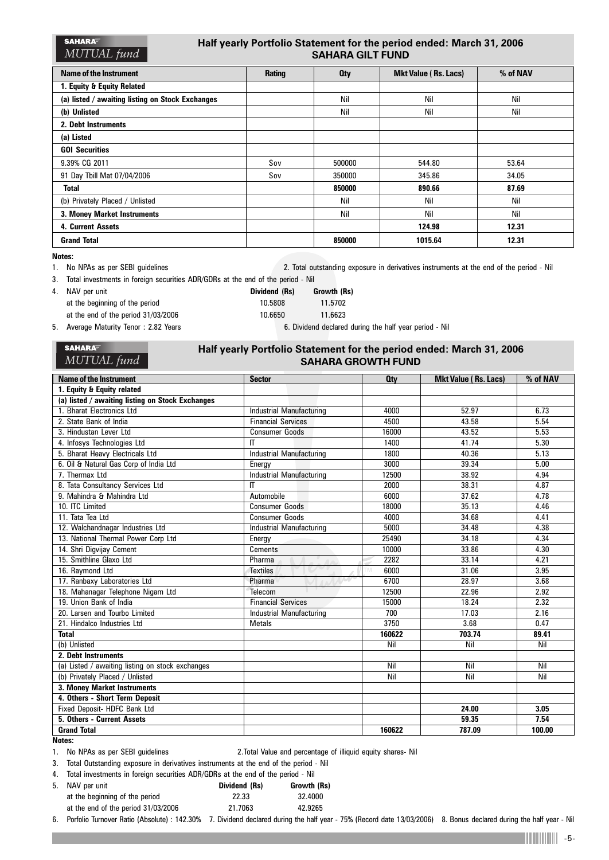| <b>SAHARA</b> | Half yearly Portfolio Statement for the period ended: March 31, 2006 |
|---------------|----------------------------------------------------------------------|
| MUTUAL fund   | <b>SAHARA GILT FUND</b>                                              |

| Name of the Instrument                           | <b>Rating</b> | <b>Oty</b> | <b>Mkt Value (Rs. Lacs)</b> | % of NAV |
|--------------------------------------------------|---------------|------------|-----------------------------|----------|
| 1. Equity & Equity Related                       |               |            |                             |          |
| (a) listed / awaiting listing on Stock Exchanges |               | Nil        | Nil                         | Nil      |
| (b) Unlisted                                     |               | Nil        | Nil                         | Nil      |
| 2. Debt Instruments                              |               |            |                             |          |
| (a) Listed                                       |               |            |                             |          |
| <b>GOI Securities</b>                            |               |            |                             |          |
| 9.39% CG 2011                                    | Sov           | 500000     | 544.80                      | 53.64    |
| 91 Day Tbill Mat 07/04/2006                      | Sov           | 350000     | 345.86                      | 34.05    |
| <b>Total</b>                                     |               | 850000     | 890.66                      | 87.69    |
| (b) Privately Placed / Unlisted                  |               | Nil        | Nil                         | Nil      |
| 3. Money Market Instruments                      |               | Nil        | Nil                         | Nil      |
| 4. Current Assets                                |               |            | 124.98                      | 12.31    |
| <b>Grand Total</b>                               |               | 850000     | 1015.64                     | 12.31    |

**Notes:**

1. No NPAs as per SEBI guidelines 2. Total outstanding exposure in derivatives instruments at the end of the period - Nil

3. Total investments in foreign securities ADR/GDRs at the end of the period - Nil

4. NAV per unit **Dividend (Rs) Growth (Rs)** at the beginning of the period 10.5808 11.5702 at the end of the period 31/03/2006 10.6650 11.6623 5. Average Maturity Tenor : 2.82 Years 6. Dividend declared during the half year period - Nil

MUTUAL fund

**SAHARA** 

# **Half yearly Portfolio Statement for the period ended: March 31, 2006 SAHARA GROWTH FUND**

| <b>Name of the Instrument</b>                    | <b>Sector</b>                   | <b>Qty</b> | <b>Mkt Value (Rs. Lacs)</b> | % of NAV |
|--------------------------------------------------|---------------------------------|------------|-----------------------------|----------|
| 1. Equity & Equity related                       |                                 |            |                             |          |
| (a) listed / awaiting listing on Stock Exchanges |                                 |            |                             |          |
| 1. Bharat Electronics Ltd                        | <b>Industrial Manufacturing</b> | 4000       | 52.97                       | 6.73     |
| 2. State Bank of India                           | <b>Financial Services</b>       | 4500       | 43.58                       | 5.54     |
| 3. Hindustan Lever Ltd                           | <b>Consumer Goods</b>           | 16000      | 43.52                       | 5.53     |
| 4. Infosys Technologies Ltd                      | $\mathsf{I}$                    | 1400       | 41.74                       | 5.30     |
| 5. Bharat Heavy Electricals Ltd                  | <b>Industrial Manufacturing</b> | 1800       | 40.36                       | 5.13     |
| 6. Oil & Natural Gas Corp of India Ltd           | Energy                          | 3000       | 39.34                       | 5.00     |
| 7. Thermax Ltd                                   | <b>Industrial Manufacturing</b> | 12500      | 38.92                       | 4.94     |
| 8. Tata Consultancy Services Ltd                 | $\Pi$                           | 2000       | 38.31                       | 4.87     |
| 9. Mahindra & Mahindra Ltd                       | Automobile                      | 6000       | 37.62                       | 4.78     |
| 10. ITC Limited                                  | <b>Consumer Goods</b>           | 18000      | 35.13                       | 4.46     |
| 11. Tata Tea Ltd                                 | <b>Consumer Goods</b>           | 4000       | 34.68                       | 4.41     |
| 12. Walchandnagar Industries Ltd                 | Industrial Manufacturing        | 5000       | 34.48                       | 4.38     |
| 13. National Thermal Power Corp Ltd              | Energy                          | 25490      | 34.18                       | 4.34     |
| 14. Shri Digvijay Cement                         | <b>Cements</b>                  | 10000      | 33.86                       | 4.30     |
| 15. Smithline Glaxo Ltd                          | Pharma                          | 2282       | 33.14                       | 4.21     |
| 16. Raymond Ltd                                  | <b>Textiles</b>                 | 6000<br>ГM | 31.06                       | 3.95     |
| 17. Ranbaxy Laboratories Ltd                     | Pharma                          | 6700       | 28.97                       | 3.68     |
| 18. Mahanagar Telephone Nigam Ltd                | Telecom                         | 12500      | 22.96                       | 2.92     |
| 19. Union Bank of India                          | <b>Financial Services</b>       | 15000      | 18.24                       | 2.32     |
| 20. Larsen and Tourbo Limited                    | Industrial Manufacturing        | 700        | 17.03                       | 2.16     |
| 21. Hindalco Industries Ltd                      | <b>Metals</b>                   | 3750       | 3.68                        | 0.47     |
| <b>Total</b>                                     |                                 | 160622     | 703.74                      | 89.41    |
| (b) Unlisted                                     |                                 | Nil        | Nil                         | Nil      |
| 2. Debt Instruments                              |                                 |            |                             |          |
| (a) Listed / awaiting listing on stock exchanges |                                 | Nil        | Nil                         | Nil      |
| (b) Privately Placed / Unlisted                  |                                 | Nil        | Nil                         | Nil      |
| 3. Money Market Instruments                      |                                 |            |                             |          |
| 4. Others - Short Term Deposit                   |                                 |            |                             |          |
| Fixed Deposit- HDFC Bank Ltd                     |                                 |            | 24.00                       | 3.05     |
| 5. Others - Current Assets                       |                                 |            | 59.35                       | 7.54     |
| <b>Grand Total</b>                               |                                 | 160622     | 787.09                      | 100.00   |

**Notes:**

1. No NPAs as per SEBI guidelines 2.Total Value and percentage of illiquid equity shares- Nil

3. Total Outstanding exposure in derivatives instruments at the end of the period - Nil

4. Total investments in foreign securities ADR/GDRs at the end of the period - Nil

| 5. NAV per unit                     | Dividend (Rs) | Growth (Rs) |
|-------------------------------------|---------------|-------------|
| at the beginning of the period      | 22.33         | 32.4000     |
| at the end of the period 31/03/2006 | 21.7063       | 42.9265     |
|                                     |               |             |

6. Porfolio Turnover Ratio (Absolute) : 142.30% 7. Dividend declared during the half year - 75% (Record date 13/03/2006) 8. Bonus declared during the half year - Nil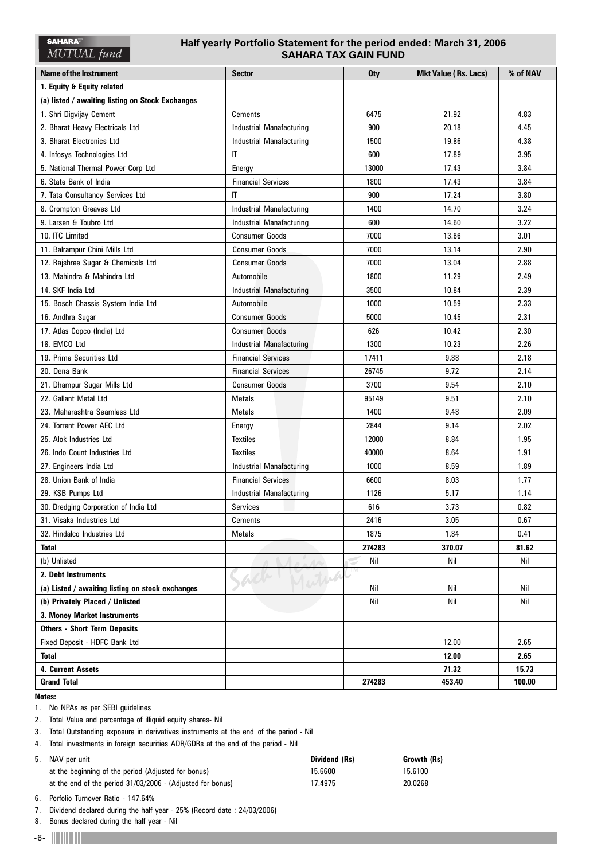# **Half yearly Portfolio Statement for the period ended: March 31, 2006 SAHARA TAX GAIN FUND**

| Name of the Instrument                           | <b>Sector</b>                   | <b>Oty</b> | <b>Mkt Value (Rs. Lacs)</b> | % of NAV |
|--------------------------------------------------|---------------------------------|------------|-----------------------------|----------|
| 1. Equity & Equity related                       |                                 |            |                             |          |
| (a) listed / awaiting listing on Stock Exchanges |                                 |            |                             |          |
| 1. Shri Digvijay Cement                          | Cements                         | 6475       | 21.92                       | 4.83     |
| 2. Bharat Heavy Electricals Ltd                  | <b>Industrial Manafacturing</b> | 900        | 20.18                       | 4.45     |
| 3. Bharat Electronics Ltd                        | <b>Industrial Manafacturing</b> | 1500       | 19.86                       | 4.38     |
| 4. Infosys Technologies Ltd                      | $\mathsf{I}$                    | 600        | 17.89                       | 3.95     |
| 5. National Thermal Power Corp Ltd               | Energy                          | 13000      | 17.43                       | 3.84     |
| 6. State Bank of India                           | <b>Financial Services</b>       | 1800       | 17.43                       | 3.84     |
| 7. Tata Consultancy Services Ltd                 | IT                              | 900        | 17.24                       | 3.80     |
| 8. Crompton Greaves Ltd                          | Industrial Manafacturing        | 1400       | 14.70                       | 3.24     |
| 9. Larsen & Toubro Ltd                           | Industrial Manafacturing        | 600        | 14.60                       | 3.22     |
| 10. ITC Limited                                  | <b>Consumer Goods</b>           | 7000       | 13.66                       | 3.01     |
| 11. Balrampur Chini Mills Ltd                    | <b>Consumer Goods</b>           | 7000       | 13.14                       | 2.90     |
| 12. Rajshree Sugar & Chemicals Ltd               | <b>Consumer Goods</b>           | 7000       | 13.04                       | 2.88     |
| 13. Mahindra & Mahindra Ltd                      | Automobile                      | 1800       | 11.29                       | 2.49     |
| 14. SKF India Ltd                                | <b>Industrial Manafacturing</b> | 3500       | 10.84                       | 2.39     |
| 15. Bosch Chassis System India Ltd               | Automobile                      | 1000       | 10.59                       | 2.33     |
| 16. Andhra Sugar                                 | <b>Consumer Goods</b>           | 5000       | 10.45                       | 2.31     |
| 17. Atlas Copco (India) Ltd                      | <b>Consumer Goods</b>           | 626        | 10.42                       | 2.30     |
| 18. EMCO Ltd                                     | Industrial Manafacturing        | 1300       | 10.23                       | 2.26     |
| 19. Prime Securities Ltd                         | <b>Financial Services</b>       | 17411      | 9.88                        | 2.18     |
| 20. Dena Bank                                    | <b>Financial Services</b>       | 26745      | 9.72                        | 2.14     |
| 21. Dhampur Sugar Mills Ltd                      | <b>Consumer Goods</b>           | 3700       | 9.54                        | 2.10     |
| 22. Gallant Metal Ltd                            | <b>Metals</b>                   | 95149      | 9.51                        | 2.10     |
| 23. Maharashtra Seamless Ltd                     | Metals                          | 1400       | 9.48                        | 2.09     |
| 24. Torrent Power AEC Ltd                        | Energy                          | 2844       | 9.14                        | 2.02     |
| 25. Alok Industries Ltd                          | <b>Textiles</b>                 | 12000      | 8.84                        | 1.95     |
| 26. Indo Count Industries Ltd                    | <b>Textiles</b>                 | 40000      | 8.64                        | 1.91     |
| 27. Engineers India Ltd                          | Industrial Manafacturing        | 1000       | 8.59                        | 1.89     |
| 28. Union Bank of India                          | <b>Financial Services</b>       | 6600       | 8.03                        | 1.77     |
| 29. KSB Pumps Ltd                                | <b>Industrial Manafacturing</b> | 1126       | 5.17                        | 1.14     |
| 30. Dredging Corporation of India Ltd            | <b>Services</b>                 | 616        | 3.73                        | 0.82     |
| 31. Visaka Industries Ltd                        | Cements                         | 2416       | 3.05                        | 0.67     |
| 32. Hindalco Industries Ltd                      | Metals                          | 1875       | 1.84                        | 0.41     |
| <b>Total</b>                                     |                                 | 274283     | 370.07                      | 81.62    |
| (b) Unlisted                                     |                                 | Nil        | Nil                         | Nil      |
| 2. Debt Instruments                              |                                 | TM.        |                             |          |
| (a) Listed / awaiting listing on stock exchanges |                                 | Nil        | Nil                         | Nil      |
| (b) Privately Placed / Unlisted                  |                                 | Nil        | Nil                         | Nil      |
| 3. Money Market Instruments                      |                                 |            |                             |          |
| <b>Others - Short Term Deposits</b>              |                                 |            |                             |          |
| Fixed Deposit - HDFC Bank Ltd                    |                                 |            | 12.00                       | 2.65     |
| Total                                            |                                 |            | 12.00                       | 2.65     |
| 4. Current Assets                                |                                 |            | 71.32                       | 15.73    |
| <b>Grand Total</b>                               |                                 | 274283     | 453.40                      | 100.00   |

### **Notes:**

1. No NPAs as per SEBI guidelines

2. Total Value and percentage of illiquid equity shares- Nil

3. Total Outstanding exposure in derivatives instruments at the end of the period - Nil

4. Total investments in foreign securities ADR/GDRs at the end of the period - Nil

| 5. NAV per unit                                            | Dividend (Rs) | Growth (Rs) |
|------------------------------------------------------------|---------------|-------------|
| at the beginning of the period (Adjusted for bonus)        | 15.6600       | 15.6100     |
| at the end of the period 31/03/2006 - (Adjusted for bonus) | 17.4975       | 20.0268     |

6. Porfolio Turnover Ratio - 147.64%

7. Dividend declared during the half year - 25% (Record date : 24/03/2006)

8. Bonus declared during the half year - Nil

-6-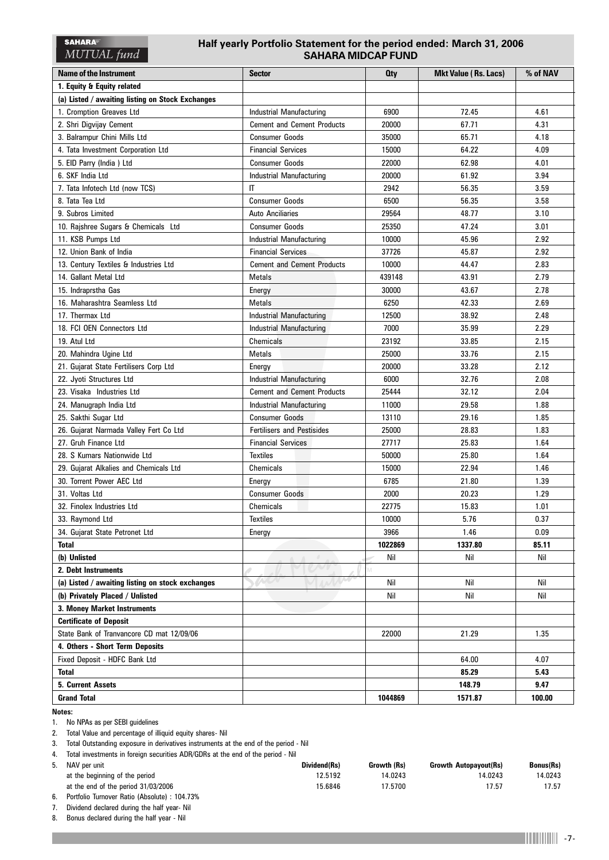# **Half yearly Portfolio Statement for the period ended: March 31, 2006 SAHARA MIDCAP FUND**

| <b>Name of the Instrument</b>                    | <b>Sector</b>                     | <b>Oty</b> | <b>Mkt Value (Rs. Lacs)</b> | % of NAV |
|--------------------------------------------------|-----------------------------------|------------|-----------------------------|----------|
| 1. Equity & Equity related                       |                                   |            |                             |          |
| (a) Listed / awaiting listing on Stock Exchanges |                                   |            |                             |          |
| 1. Cromption Greaves Ltd                         | <b>Industrial Manufacturing</b>   | 6900       | 72.45                       | 4.61     |
| 2. Shri Digvijay Cement                          | <b>Cement and Cement Products</b> | 20000      | 67.71                       | 4.31     |
| 3. Balrampur Chini Mills Ltd                     | <b>Consumer Goods</b>             | 35000      | 65.71                       | 4.18     |
| 4. Tata Investment Corporation Ltd               | <b>Financial Services</b>         | 15000      | 64.22                       | 4.09     |
| 5. EID Parry (India) Ltd                         | <b>Consumer Goods</b>             | 22000      | 62.98                       | 4.01     |
| 6. SKF India Ltd                                 | <b>Industrial Manufacturing</b>   | 20000      | 61.92                       | 3.94     |
| 7. Tata Infotech Ltd (now TCS)                   | $\mathsf{I}$                      | 2942       | 56.35                       | 3.59     |
| 8. Tata Tea Ltd                                  | <b>Consumer Goods</b>             | 6500       | 56.35                       | 3.58     |
| 9. Subros Limited                                | <b>Auto Anciliaries</b>           | 29564      | 48.77                       | 3.10     |
| 10. Rajshree Sugars & Chemicals Ltd              | <b>Consumer Goods</b>             | 25350      | 47.24                       | 3.01     |
| 11. KSB Pumps Ltd                                | <b>Industrial Manufacturing</b>   | 10000      | 45.96                       | 2.92     |
| 12. Union Bank of India                          | <b>Financial Services</b>         | 37726      | 45.87                       | 2.92     |
| 13. Century Textiles & Industries Ltd            | <b>Cement and Cement Products</b> | 10000      | 44.47                       | 2.83     |
| 14. Gallant Metal Ltd                            | <b>Metals</b>                     | 439148     | 43.91                       | 2.79     |
| 15. Indraprstha Gas                              | Energy                            | 30000      | 43.67                       | 2.78     |
| 16. Maharashtra Seamless Ltd                     | <b>Metals</b>                     | 6250       | 42.33                       | 2.69     |
| 17. Thermax Ltd                                  | Industrial Manufacturing          | 12500      | 38.92                       | 2.48     |
| 18. FCI OEN Connectors Ltd                       | <b>Industrial Manufacturing</b>   | 7000       | 35.99                       | 2.29     |
| 19. Atul Ltd                                     | Chemicals                         | 23192      | 33.85                       | 2.15     |
| 20. Mahindra Ugine Ltd                           | Metals                            | 25000      | 33.76                       | 2.15     |
| 21. Gujarat State Fertilisers Corp Ltd           | Energy                            | 20000      | 33.28                       | 2.12     |
| 22. Jyoti Structures Ltd                         | <b>Industrial Manufacturing</b>   | 6000       | 32.76                       | 2.08     |
| 23. Visaka Industries Ltd                        | <b>Cement and Cement Products</b> | 25444      | 32.12                       | 2.04     |
| 24. Manugraph India Ltd                          | <b>Industrial Manufacturing</b>   | 11000      | 29.58                       | 1.88     |
| 25. Sakthi Sugar Ltd                             | <b>Consumer Goods</b>             | 13110      | 29.16                       | 1.85     |
| 26. Gujarat Narmada Valley Fert Co Ltd           | <b>Fertilisers and Pestisides</b> | 25000      | 28.83                       | 1.83     |
| 27. Gruh Finance Ltd                             | <b>Financial Services</b>         | 27717      | 25.83                       | 1.64     |
| 28. S Kumars Nationwide Ltd                      | <b>Textiles</b>                   | 50000      | 25.80                       | 1.64     |
| 29. Gujarat Alkalies and Chemicals Ltd           | Chemicals                         | 15000      | 22.94                       | 1.46     |
| 30. Torrent Power AEC Ltd                        | Energy                            | 6785       | 21.80                       | 1.39     |
| 31. Voltas Ltd                                   | <b>Consumer Goods</b>             | 2000       | 20.23                       | 1.29     |
| 32. Finolex Industries Ltd                       | Chemicals                         | 22775      | 15.83                       | 1.01     |
| 33. Raymond Ltd                                  | Textiles                          | 10000      | 5.76                        | 0.37     |
| 34. Gujarat State Petronet Ltd                   | Energy                            | 3966       | 1.46                        | 0.09     |
| <b>Total</b>                                     |                                   | 1022869    | 1337.80                     | 85.11    |
| (b) Unlisted                                     |                                   | Nil        | Nil                         | Nil      |
| 2. Debt Instruments                              |                                   |            |                             |          |
| (a) Listed / awaiting listing on stock exchanges |                                   | Nil        | Nil                         | Nil      |
| (b) Privately Placed / Unlisted                  |                                   | Nil        | Nil                         | Nil      |
| 3. Money Market Instruments                      |                                   |            |                             |          |
| <b>Certificate of Deposit</b>                    |                                   |            |                             |          |
| State Bank of Tranvancore CD mat 12/09/06        |                                   | 22000      | 21.29                       | 1.35     |
| 4. Others - Short Term Deposits                  |                                   |            |                             |          |
| Fixed Deposit - HDFC Bank Ltd                    |                                   |            | 64.00                       | 4.07     |
| <b>Total</b>                                     |                                   |            | 85.29                       | 5.43     |
| 5. Current Assets                                |                                   |            | 148.79                      | 9.47     |
| <b>Grand Total</b>                               |                                   | 1044869    | 1571.87                     | 100.00   |

**Notes:**

1. No NPAs as per SEBI guidelines

2. Total Value and percentage of illiquid equity shares- Nil

3. Total Outstanding exposure in derivatives instruments at the end of the period - Nil

4. Total investments in foreign securities ADR/GDRs at the end of the period - Nil

| 5. NAV per unit                                       | Dividend(Rs) | Growth (Rs) | <b>Growth Autopayout(Rs)</b> | <b>Bonus(Rs)</b> |
|-------------------------------------------------------|--------------|-------------|------------------------------|------------------|
| at the beginning of the period                        | 12.5192      | 14.0243     | 14.0243                      | 14.0243          |
| at the end of the period 31/03/2006                   | 15.6846      | 17.5700     | 17.57                        | 17.57            |
| <b>Dortfolio Turnovar Patio (Aboolute) : 104 7296</b> |              |             |                              |                  |

6. Portfolio Turnover Ratio (Absolute) : 104.73%

7. Dividend declared during the half year- Nil

8. Bonus declared during the half year - Nil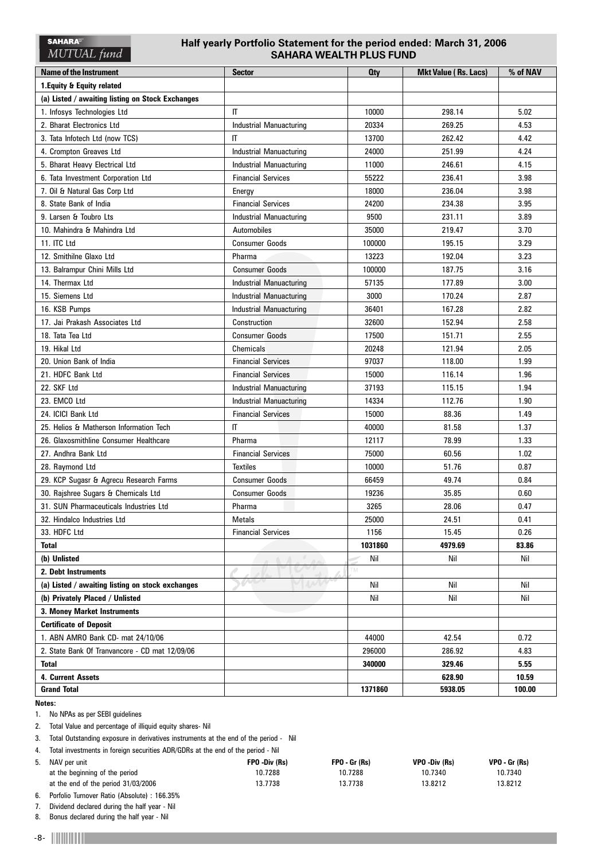# **Half yearly Portfolio Statement for the period ended: March 31, 2006 SAHARA WEALTH PLUS FUND**

| <b>Name of the Instrument</b>                    | <b>Sector</b>                  | <b>Qty</b> | <b>Mkt Value (Rs. Lacs)</b> | % of NAV |
|--------------------------------------------------|--------------------------------|------------|-----------------------------|----------|
| 1. Equity & Equity related                       |                                |            |                             |          |
| (a) Listed / awaiting listing on Stock Exchanges |                                |            |                             |          |
| 1. Infosys Technologies Ltd                      | IT                             | 10000      | 298.14                      | 5.02     |
| 2. Bharat Electronics Ltd                        | <b>Industrial Manuacturing</b> | 20334      | 269.25                      | 4.53     |
| 3. Tata Infotech Ltd (now TCS)                   | $\mathsf{I}$                   | 13700      | 262.42                      | 4.42     |
| 4. Crompton Greaves Ltd                          | <b>Industrial Manuacturing</b> | 24000      | 251.99                      | 4.24     |
| 5. Bharat Heavy Electrical Ltd                   | <b>Industrial Manuacturing</b> | 11000      | 246.61                      | 4.15     |
| 6. Tata Investment Corporation Ltd               | <b>Financial Services</b>      | 55222      | 236.41                      | 3.98     |
| 7. Oil & Natural Gas Corp Ltd                    | Energy                         | 18000      | 236.04                      | 3.98     |
| 8. State Bank of India                           | <b>Financial Services</b>      | 24200      | 234.38                      | 3.95     |
| 9. Larsen & Toubro Lts                           | <b>Industrial Manuacturing</b> | 9500       | 231.11                      | 3.89     |
| 10. Mahindra & Mahindra Ltd                      | Automobiles                    | 35000      | 219.47                      | 3.70     |
| 11. ITC Ltd                                      | <b>Consumer Goods</b>          | 100000     | 195.15                      | 3.29     |
| 12. Smithilne Glaxo Ltd                          | Pharma                         | 13223      | 192.04                      | 3.23     |
| 13. Balrampur Chini Mills Ltd                    | <b>Consumer Goods</b>          | 100000     | 187.75                      | 3.16     |
| 14. Thermax Ltd                                  | Industrial Manuacturing        | 57135      | 177.89                      | 3.00     |
| 15. Siemens Ltd                                  | <b>Industrial Manuacturing</b> | 3000       | 170.24                      | 2.87     |
| 16. KSB Pumps                                    | <b>Industrial Manuacturing</b> | 36401      | 167.28                      | 2.82     |
| 17. Jai Prakash Associates Ltd                   | Construction                   | 32600      | 152.94                      | 2.58     |
| 18. Tata Tea Ltd                                 | <b>Consumer Goods</b>          | 17500      | 151.71                      | 2.55     |
| 19. Hikal Ltd                                    | Chemicals                      | 20248      | 121.94                      | 2.05     |
| 20. Union Bank of India                          | <b>Financial Services</b>      | 97037      | 118.00                      | 1.99     |
| 21. HDFC Bank Ltd                                | <b>Financial Services</b>      | 15000      | 116.14                      | 1.96     |
| 22. SKF Ltd                                      | <b>Industrial Manuacturing</b> | 37193      | 115.15                      | 1.94     |
| 23. EMCO Ltd                                     | <b>Industrial Manuacturing</b> | 14334      | 112.76                      | 1.90     |
| 24. ICICI Bank Ltd                               | <b>Financial Services</b>      | 15000      | 88.36                       | 1.49     |
| 25. Helios & Matherson Information Tech          | IT                             | 40000      | 81.58                       | 1.37     |
| 26. Glaxosmithline Consumer Healthcare           | Pharma                         | 12117      | 78.99                       | 1.33     |
| 27. Andhra Bank Ltd                              | <b>Financial Services</b>      | 75000      | 60.56                       | 1.02     |
| 28. Raymond Ltd                                  | <b>Textiles</b>                | 10000      | 51.76                       | 0.87     |
| 29. KCP Sugasr & Agrecu Research Farms           | <b>Consumer Goods</b>          | 66459      | 49.74                       | 0.84     |
| 30. Rajshree Sugars & Chemicals Ltd              | <b>Consumer Goods</b>          | 19236      | 35.85                       | 0.60     |
| 31. SUN Pharmaceuticals Industries Ltd           | Pharma                         | 3265       | 28.06                       | 0.47     |
| 32. Hindalco Industries Ltd                      | Metals                         | 25000      | 24.51                       | 0.41     |
| 33. HDFC Ltd                                     | <b>Financial Services</b>      | 1156       | 15.45                       | 0.26     |
| <b>Total</b>                                     |                                | 1031860    | 4979.69                     | 83.86    |
| (b) Unlisted                                     |                                | Nil        | Nil                         | Nil      |
| 2. Debt Instruments                              |                                | TM         |                             |          |
| (a) Listed / awaiting listing on stock exchanges |                                | Nil        | Nil                         | Nil      |
| (b) Privately Placed / Unlisted                  |                                | Nil        | Nil                         | Nil      |
| 3. Money Market Instruments                      |                                |            |                             |          |
| <b>Certificate of Deposit</b>                    |                                |            |                             |          |
| 1. ABN AMRO Bank CD- mat 24/10/06                |                                | 44000      | 42.54                       | 0.72     |
| 2. State Bank Of Tranvancore - CD mat 12/09/06   |                                | 296000     | 286.92                      | 4.83     |
| <b>Total</b>                                     |                                | 340000     | 329.46                      | 5.55     |
| 4. Current Assets                                |                                |            | 628.90                      | 10.59    |
| <b>Grand Total</b>                               |                                | 1371860    | 5938.05                     | 100.00   |

**Notes:**

1. No NPAs as per SEBI guidelines

2. Total Value and percentage of illiquid equity shares- Nil

3. Total Outstanding exposure in derivatives instruments at the end of the period - Nil

4. Total investments in foreign securities ADR/GDRs at the end of the period - Nil 5. NAV per unit **FPO -Div (Rs) FPO - Gr (Rs) VPO -Div (Rs) VPO - Gr (Rs)** at the beginning of the period 10.7288 10.7288 10.7288 10.7340 10.7340 10.7340 at the end of the period 31/03/2006 13.7738 13.7738 13.8212 13.8212

6. Porfolio Turnover Ratio (Absolute) : 166.35%

7. Dividend declared during the half year - Nil 8. Bonus declared during the half year - Nil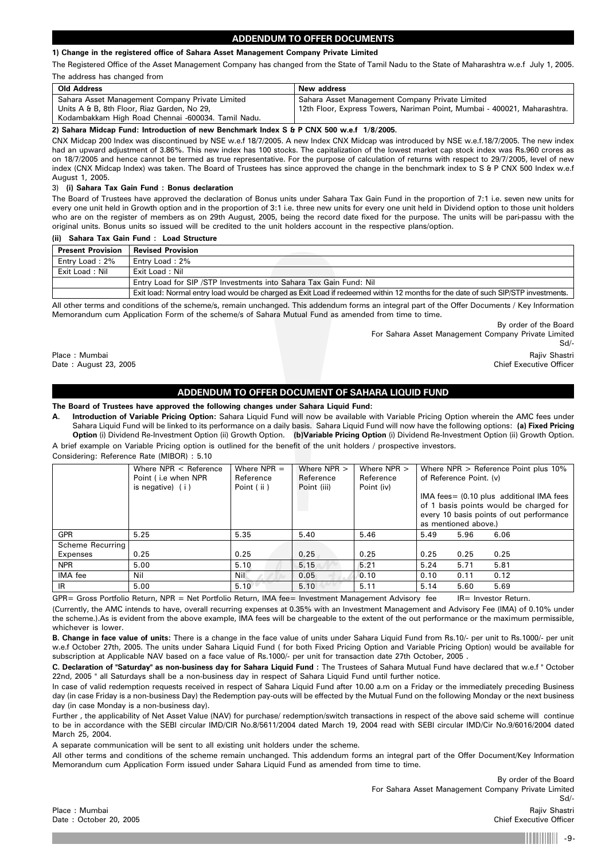# **ADDENDUM TO OFFER DOCUMENTS**

### **1) Change in the registered office of Sahara Asset Management Company Private Limited**

The Registered Office of the Asset Management Company has changed from the State of Tamil Nadu to the State of Maharashtra w.e.f July 1, 2005. The address has changed from

| Old Address                                        | New address                                                              |
|----------------------------------------------------|--------------------------------------------------------------------------|
| Sahara Asset Management Company Private Limited    | Sahara Asset Management Company Private Limited                          |
| Units A & B, 8th Floor, Riaz Garden, No 29,        | 12th Floor, Express Towers, Nariman Point, Mumbai - 400021, Maharashtra. |
| Kodambakkam High Road Chennai -600034. Tamil Nadu. |                                                                          |

**2) Sahara Midcap Fund: Introduction of new Benchmark Index S & P CNX 500 w.e.f 1/8/2005.**

CNX Midcap 200 Index was discontinued by NSE w.e.f 18/7/2005. A new Index CNX Midcap was introduced by NSE w.e.f.18/7/2005. The new index had an upward adjustment of 3.86%. This new index has 100 stocks. The capitalization of the lowest market cap stock index was Rs.960 crores as on 18/7/2005 and hence cannot be termed as true representative. For the purpose of calculation of returns with respect to 29/7/2005, level of new index (CNX Midcap Index) was taken. The Board of Trustees has since approved the change in the benchmark index to S & P CNX 500 Index w.e.f August 1, 2005.

### 3) **(i) Sahara Tax Gain Fund : Bonus declaration**

The Board of Trustees have approved the declaration of Bonus units under Sahara Tax Gain Fund in the proportion of 7:1 i.e. seven new units for every one unit held in Growth option and in the proportion of 3:1 i.e. three new units for every one unit held in Dividend option to those unit holders who are on the register of members as on 29th August, 2005, being the record date fixed for the purpose. The units will be pari-passu with the original units. Bonus units so issued will be credited to the unit holders account in the respective plans/option.

# **(ii) Sahara Tax Gain Fund : Load Structure**

| <b>Present Provision</b> | <b>Revised Provision</b>                                                                                                          |
|--------------------------|-----------------------------------------------------------------------------------------------------------------------------------|
| Entry Load: 2%           | Entry Load: 2%                                                                                                                    |
| Exit Load: Nil           | Exit Load: Nil                                                                                                                    |
|                          | Entry Load for SIP / STP Investments into Sahara Tax Gain Fund: Nil                                                               |
|                          | Exit load: Normal entry load would be charged as Exit Load if redeemed within 12 months for the date of such SIP/STP investments. |

All other terms and conditions of the scheme/s, remain unchanged. This addendum forms an integral part of the Offer Documents / Key Information Memorandum cum Application Form of the scheme/s of Sahara Mutual Fund as amended from time to time.

By order of the Board For Sahara Asset Management Company Private Limited Sd/- Place : Mumbai Rajiv Shastri . And a share in the state of the state of the state of the state of the state of the state of the state of the state of the state of the state of the state of the state of the state of the sta

Date : August 23, 2005 Chief Executive Officer

# **ADDENDUM TO OFFER DOCUMENT OF SAHARA LIQUID FUND**

### **The Board of Trustees have approved the following changes under Sahara Liquid Fund:**

**A. Introduction of Variable Pricing Option:** Sahara Liquid Fund will now be available with Variable Pricing Option wherein the AMC fees under Sahara Liquid Fund will be linked to its performance on a daily basis. Sahara Liquid Fund will now have the following options: **(a) Fixed Pricing Option** (i) Dividend Re-Investment Option (ii) Growth Option. **(b)Variable Pricing Option** (i) Dividend Re-Investment Option (ii) Growth Option. A brief example on Variable Pricing option is outlined for the benefit of the unit holders / prospective investors.

Considering: Reference Rate (MIBOR) : 5.10

|                  | Where $NPR <$ Reference<br>Point (i.e when NPR<br>is negative) $(i)$ | Where $NPR =$<br>Reference<br>Point (ii) | Where $NPR$ ><br>Reference<br>Point (iii) | Where $NPR$ ><br>Reference<br>Point (iv) | Where $NPR >$ Reference Point plus 10%<br>of Reference Point. (v)<br>IMA fees = (0.10 plus additional IMA fees<br>of 1 basis points would be charged for<br>every 10 basis points of out performance<br>as mentioned above.) |
|------------------|----------------------------------------------------------------------|------------------------------------------|-------------------------------------------|------------------------------------------|------------------------------------------------------------------------------------------------------------------------------------------------------------------------------------------------------------------------------|
| <b>GPR</b>       | 5.25                                                                 | 5.35                                     | 5.40                                      | 5.46                                     | 5.49<br>5.96<br>6.06                                                                                                                                                                                                         |
| Scheme Recurring |                                                                      |                                          |                                           |                                          |                                                                                                                                                                                                                              |
| Expenses         | 0.25                                                                 | 0.25                                     | 0.25                                      | 0.25                                     | 0.25<br>0.25<br>0.25                                                                                                                                                                                                         |
| <b>NPR</b>       | 5.00                                                                 | 5.10                                     | 5.15                                      | 5.21                                     | 5.24<br>5.71<br>5.81                                                                                                                                                                                                         |
| <b>IMA</b> fee   | Nil                                                                  | <b>Nil</b>                               | 0.05                                      | 0.10                                     | 0.10<br>0.11<br>0.12                                                                                                                                                                                                         |
| <b>IR</b>        | 5.00                                                                 | 5.10                                     | 5.10                                      | 5.11                                     | 5.69<br>5.14<br>5.60                                                                                                                                                                                                         |

GPR= Gross Portfolio Return, NPR = Net Portfolio Return, IMA fee= Investment Management Advisory fee IR= Investor Return.

(Currently, the AMC intends to have, overall recurring expenses at 0.35% with an Investment Management and Advisory Fee (IMA) of 0.10% under the scheme.).As is evident from the above example, IMA fees will be chargeable to the extent of the out performance or the maximum permissible, whichever is lower.

**B. Change in face value of units:** There is a change in the face value of units under Sahara Liquid Fund from Rs.10/- per unit to Rs.1000/- per unit w.e.f October 27th, 2005. The units under Sahara Liquid Fund ( for both Fixed Pricing Option and Variable Pricing Option) would be available for subscription at Applicable NAV based on a face value of Rs.1000/- per unit for transaction date 27th October, 2005 .

**C. Declaration of "Saturday" as non-business day for Sahara Liquid Fund :** The Trustees of Sahara Mutual Fund have declared that w.e.f " October 22nd, 2005 " all Saturdays shall be a non-business day in respect of Sahara Liquid Fund until further notice.

In case of valid redemption requests received in respect of Sahara Liquid Fund after 10.00 a.m on a Friday or the immediately preceding Business day (in case Friday is a non-business Day) the Redemption pay-outs will be effected by the Mutual Fund on the following Monday or the next business day (in case Monday is a non-business day).

Further , the applicability of Net Asset Value (NAV) for purchase/ redemption/switch transactions in respect of the above said scheme will continue to be in accordance with the SEBI circular IMD/CIR No.8/5611/2004 dated March 19, 2004 read with SEBI circular IMD/Cir No.9/6016/2004 dated March 25, 2004.

A separate communication will be sent to all existing unit holders under the scheme.

All other terms and conditions of the scheme remain unchanged. This addendum forms an integral part of the Offer Document/Key Information Memorandum cum Application Form issued under Sahara Liquid Fund as amended from time to time.

By order of the Board For Sahara Asset Management Company Private Limited Sd/- Place : Mumbai Rajiv Shastri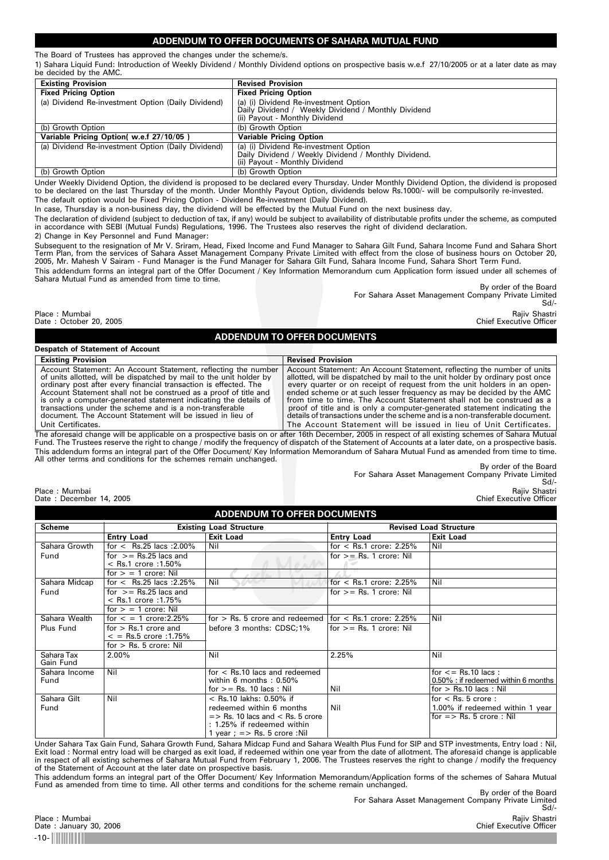# **ADDENDUM TO OFFER DOCUMENTS OF SAHARA MUTUAL FUND**

The Board of Trustees has approved the changes under the scheme/s. 1) Sahara Liquid Fund: Introduction of Weekly Dividend / Monthly Dividend options on prospective basis w.e.f 27/10/2005 or at a later date as may be decided by the AMC.

| <b>Existing Provision</b>                          | <b>Revised Provision</b>                             |
|----------------------------------------------------|------------------------------------------------------|
| <b>Fixed Pricing Option</b>                        | <b>Fixed Pricing Option</b>                          |
| (a) Dividend Re-investment Option (Daily Dividend) | (a) (i) Dividend Re-investment Option                |
|                                                    | Daily Dividend / Weekly Dividend / Monthly Dividend  |
|                                                    | (ii) Payout - Monthly Dividend                       |
| (b) Growth Option                                  | (b) Growth Option                                    |
| Variable Pricing Option( w.e.f 27/10/05)           | <b>Variable Pricing Option</b>                       |
| (a) Dividend Re-investment Option (Daily Dividend) | (a) (i) Dividend Re-investment Option                |
|                                                    | Daily Dividend / Weekly Dividend / Monthly Dividend. |
|                                                    | (ii) Payout - Monthly Dividend                       |
| (b) Growth Option                                  | (b) Growth Option                                    |

Under Weekly Dividend Option, the dividend is proposed to be declared every Thursday. Under Monthly Dividend Option, the dividend is proposed to be declared on the last Thursday of the month. Under Monthly Payout Option, dividends below Rs.1000/- will be compulsorily re-invested. The default option would be Fixed Pricing Option - Dividend Re-investment (Daily Dividend).

In case, Thursday is a non-business day, the dividend will be effected by the Mutual Fund on the next business day.

The declaration of dividend (subject to deduction of tax, if any) would be subject to availability of distributable profits under the scheme, as computed<br>in accordance with SEBI (Mutual Funds) Regulations, 1996. The Truste

2) Change in Key Personnel and Fund Manager:

Subsequent to the resignation of Mr V. Sriram, Head, Fixed Income and Fund Manager to Sahara Gilt Fund, Sahara Income Fund and Sahara Short<br>Term Plan, from the services of Sahara Asset Management Company Private Limited wi

This addendum forms an integral part of the Offer Document / Key Information Memorandum cum Application form issued under all schemes of Sahara Mutual Fund as amended from time to time.

By order of the Board For Sahara Asset Management Company Private Limited Sd/-

Place : Mumbai Rajiv Shastri Date : October 20, 2005 Chief Executive Officer

# **ADDENDUM TO OFFER DOCUMENTS**

| <b>Despatch of Statement of Account</b>                                                                                                                                                                                                                                                                                                                                                                                                                                                         |                                                                                                                                                                                                                                                                                                                                                                                                                                                                                                                                                                                                                         |
|-------------------------------------------------------------------------------------------------------------------------------------------------------------------------------------------------------------------------------------------------------------------------------------------------------------------------------------------------------------------------------------------------------------------------------------------------------------------------------------------------|-------------------------------------------------------------------------------------------------------------------------------------------------------------------------------------------------------------------------------------------------------------------------------------------------------------------------------------------------------------------------------------------------------------------------------------------------------------------------------------------------------------------------------------------------------------------------------------------------------------------------|
| <b>Existing Provision</b>                                                                                                                                                                                                                                                                                                                                                                                                                                                                       | <b>Revised Provision</b>                                                                                                                                                                                                                                                                                                                                                                                                                                                                                                                                                                                                |
| Account Statement: An Account Statement, reflecting the number<br>of units allotted, will be dispatched by mail to the unit holder by<br>ordinary post after every financial transaction is effected. The<br>Account Statement shall not be construed as a proof of title and<br>is only a computer-generated statement indicating the details of<br>transactions under the scheme and is a non-transferable<br>document. The Account Statement will be issued in lieu of<br>Unit Certificates. | Account Statement: An Account Statement, reflecting the number of units<br>allotted, will be dispatched by mail to the unit holder by ordinary post once<br>every quarter or on receipt of request from the unit holders in an open-<br>ended scheme or at such lesser frequency as may be decided by the AMC<br>from time to time. The Account Statement shall not be construed as a<br>proof of title and is only a computer-generated statement indicating the<br>details of transactions under the scheme and is a non-transferable document.<br>The Account Statement will be issued in lieu of Unit Certificates. |
|                                                                                                                                                                                                                                                                                                                                                                                                                                                                                                 | $\mathcal{L} = \mathcal{L} \times \mathcal{L} = \mathcal{L} \times \mathcal{L} = \mathcal{L} \times \mathcal{L} = \mathcal{L} \times \mathcal{L} = \mathcal{L} \times \mathcal{L} = \mathcal{L} \times \mathcal{L} = \mathcal{L} \times \mathcal{L} = \mathcal{L} \times \mathcal{L} = \mathcal{L} \times \mathcal{L} = \mathcal{L} \times \mathcal{L} = \mathcal{L} \times \mathcal{L} = \mathcal{L} \times \mathcal{L} = \mathcal{L} \times \mathcal{L} = \mathcal{L} \times \mathcal{L} = \mathcal$                                                                                                                  |

The aforesaid change will be applicable on a prospective basis on or after 16th December, 2005 in respect of all existing schemes of Sahara Mutual Fund. The Trustees reserve the right to change / modify the frequency of dispatch of the Statement of Accounts at a later date, on a prospective basis. This addendum forms an integral part of the Offer Document/ Key Information Memorandum of Sahara Mutual Fund as amended from time to time. All other terms and conditions for the schemes remain unchanged.

# Place : Mumbai Rajiv Shastri ) and the state of the state of the state of the state of the state of the state of the state of the state of the state of the state of the state of the state of the state of the state of the s

By order of the Board For Sahara Asset Management Company Private Limited Sd/-

Date : December 14, 2005 Chief Executive Officer

| <b>ADDENDUM TO OFFER DOCUMENTS</b> |                                                          |                                                                                                                        |                               |                                                                                           |  |
|------------------------------------|----------------------------------------------------------|------------------------------------------------------------------------------------------------------------------------|-------------------------------|-------------------------------------------------------------------------------------------|--|
| Scheme                             | <b>Existing Load Structure</b>                           |                                                                                                                        | <b>Revised Load Structure</b> |                                                                                           |  |
|                                    | <b>Entry Load</b>                                        | <b>Exit Load</b>                                                                                                       | <b>Entry Load</b>             | <b>Exit Load</b>                                                                          |  |
| Sahara Growth                      | for $\le$ Rs.25 lacs : 2.00%                             | Nil                                                                                                                    | for $\le$ Rs.1 crore: 2.25%   | Nil                                                                                       |  |
| Fund                               | for $>=$ Rs.25 lacs and<br>$<$ Rs.1 crore :1.50%         |                                                                                                                        | for $>=$ Rs. 1 crore: Nil     |                                                                                           |  |
|                                    | for $>$ = 1 crore: Nil                                   |                                                                                                                        |                               |                                                                                           |  |
| Sahara Midcap                      | for $\le$ Rs.25 lacs : 2.25%                             | Nil                                                                                                                    | for $\le$ Rs.1 crore: 2.25%   | Nil                                                                                       |  |
| Fund                               | for $>=$ Rs.25 lacs and<br>$<$ Rs.1 crore :1.75%         |                                                                                                                        | for $>=$ Rs. 1 crore: Nil     |                                                                                           |  |
|                                    | for $>$ = 1 crore: Nil                                   |                                                                                                                        |                               |                                                                                           |  |
| Sahara Wealth                      | for $\le$ = 1 crore: 2.25%                               | for $>$ Rs. 5 crore and redeemed $ $ for $<$ Rs.1 crore: 2.25%                                                         |                               | Nil                                                                                       |  |
| Plus Fund                          | for $>$ Rs.1 crore and<br>$\epsilon$ = Rs.5 crore :1.75% | before 3 months: CDSC;1%                                                                                               | for $>=$ Rs. 1 crore: Nil     |                                                                                           |  |
|                                    | for $>$ Rs. 5 crore: Nil                                 |                                                                                                                        |                               |                                                                                           |  |
| Sahara Tax<br>Gain Fund            | 2.00%                                                    | Nil                                                                                                                    | 2.25%                         | Nil                                                                                       |  |
| Sahara Income<br>Fund              | Nil                                                      | $for <$ Rs.10 lacs and redeemed<br>within 6 months: $0.50\%$<br>for $>=$ Rs. 10 lacs : Nil                             | Nil                           | for $\leq$ Rs.10 lacs:<br>0.50% : if redeemed within 6 months<br>for $>$ Rs.10 lacs : Nil |  |
| Sahara Gilt                        | Nil                                                      | $<$ Rs.10 lakhs: 0.50% if                                                                                              |                               | for $<$ Rs. 5 crore :                                                                     |  |
| Fund                               |                                                          | redeemed within 6 months                                                                                               | Nil                           | 1.00% if redeemed within 1 year                                                           |  |
|                                    |                                                          | $\Rightarrow$ Rs. 10 lacs and $\le$ Rs. 5 crore<br>: 1.25% if redeemed within<br>1 year; $\epsilon$ > Rs. 5 crore :Nil |                               | for $\Rightarrow$ Rs. 5 crore : Nil                                                       |  |

Under Sahara Tax Gain Fund, Sahara Growth Fund, Sahara Midcap Fund and Sahara Wealth Plus Fund for SIP and STP investments, Entry load : Nil, Exit load : Normal entry load will be charged as exit load, if redeemed within one year from the date of allotment. The aforesaid change is applicable<br>in respect of all existing schemes of Sahara Mutual Fund from February of the Statement of Account at the later date on prospective basis.

This addendum forms an integral part of the Offer Document/ Key Information Memorandum/Application forms of the schemes of Sahara Mutual Fund as amended from time to time. All other terms and conditions for the scheme remain unchanged.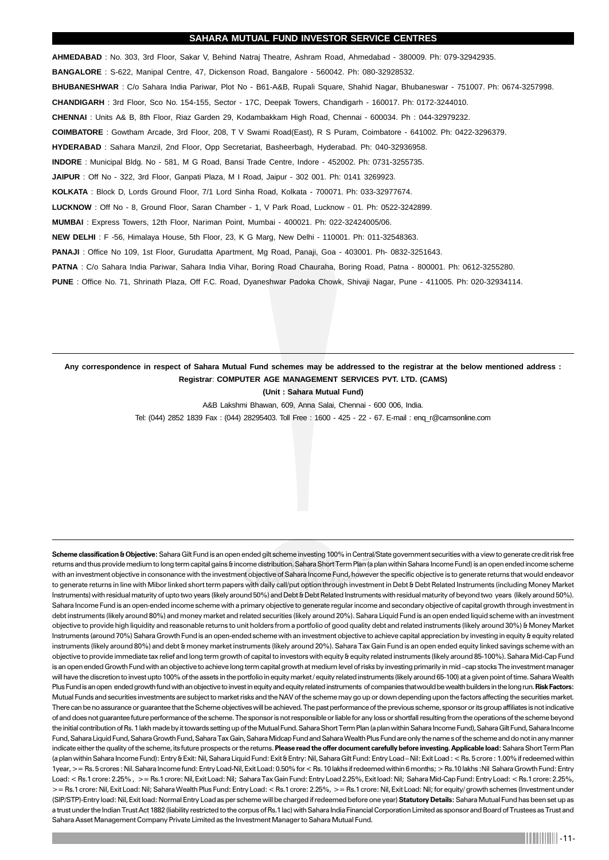# **SAHARA MUTUAL FUND INVESTOR SERVICE CENTRES**

**AHMEDABAD** : No. 303, 3rd Floor, Sakar V, Behind Natraj Theatre, Ashram Road, Ahmedabad - 380009. Ph: 079-32942935. **BANGALORE** : S-622, Manipal Centre, 47, Dickenson Road, Bangalore - 560042. Ph: 080-32928532. **BHUBANESHWAR** : C/o Sahara India Pariwar, Plot No - B61-A&B, Rupali Square, Shahid Nagar, Bhubaneswar - 751007. Ph: 0674-3257998. **CHANDIGARH** : 3rd Floor, Sco No. 154-155, Sector - 17C, Deepak Towers, Chandigarh - 160017. Ph: 0172-3244010. **CHENNAI** : Units A& B, 8th Floor, Riaz Garden 29, Kodambakkam High Road, Chennai - 600034. Ph : 044-32979232. **COIMBATORE** : Gowtham Arcade, 3rd Floor, 208, T V Swami Road(East), R S Puram, Coimbatore - 641002. Ph: 0422-3296379. **HYDERABAD** : Sahara Manzil, 2nd Floor, Opp Secretariat, Basheerbagh, Hyderabad. Ph: 040-32936958. **INDORE** : Municipal Bldg. No - 581, M G Road, Bansi Trade Centre, Indore - 452002. Ph: 0731-3255735. **JAIPUR** : Off No - 322, 3rd Floor, Ganpati Plaza, M I Road, Jaipur - 302 001. Ph: 0141 3269923. **KOLKATA** : Block D, Lords Ground Floor, 7/1 Lord Sinha Road, Kolkata - 700071. Ph: 033-32977674. **LUCKNOW** : Off No - 8, Ground Floor, Saran Chamber - 1, V Park Road, Lucknow - 01. Ph: 0522-3242899. **MUMBAI** : Express Towers, 12th Floor, Nariman Point, Mumbai - 400021. Ph: 022-32424005/06. **NEW DELHI** : F -56, Himalaya House, 5th Floor, 23, K G Marg, New Delhi - 110001. Ph: 011-32548363. **PANAJI** : Office No 109, 1st Floor, Gurudatta Apartment, Mg Road, Panaji, Goa - 403001. Ph- 0832-3251643. PATNA : C/o Sahara India Pariwar, Sahara India Vihar, Boring Road Chauraha, Boring Road, Patna - 800001. Ph: 0612-3255280. **PUNE** : Office No. 71, Shrinath Plaza, Off F.C. Road, Dyaneshwar Padoka Chowk, Shivaji Nagar, Pune - 411005. Ph: 020-32934114.

# **Any correspondence in respect of Sahara Mutual Fund schemes may be addressed to the registrar at the below mentioned address : Registrar**: **COMPUTER AGE MANAGEMENT SERVICES PVT. LTD. (CAMS)**

**(Unit : Sahara Mutual Fund)**

A&B Lakshmi Bhawan, 609, Anna Salai, Chennai - 600 006, India.

Tel: (044) 2852 1839 Fax : (044) 28295403. Toll Free : 1600 - 425 - 22 - 67. E-mail : enq\_r@camsonline.com

**Scheme classification & Objective:** Sahara Gilt Fund is an open ended gilt scheme investing 100% in Central/State government securities with a view to generate credit risk free returns and thus provide medium to long term capital gains & income distribution. Sahara Short Term Plan (a plan within Sahara Income Fund) is an open ended income scheme with an investment objective in consonance with the investment objective of Sahara Income Fund, however the specific objective is to generate returns that would endeavor to generate returns in line with Mibor linked short term papers with daily call/put option through investment in Debt & Debt Related Instruments (including Money Market Instruments) with residual maturity of upto two years (likely around 50%) and Debt & Debt Related Instruments with residual maturity of beyond two years (likely around 50%). Sahara Income Fund is an open-ended income scheme with a primary objective to generate regular income and secondary objective of capital growth through investment in debt instruments (likely around 80%) and money market and related securities (likely around 20%). Sahara Liquid Fund is an open ended liquid scheme with an investment objective to provide high liquidity and reasonable returns to unit holders from a portfolio of good quality debt and related instruments (likely around 30%) & Money Market Instruments (around 70%) Sahara Growth Fund is an open-ended scheme with an investment objective to achieve capital appreciation by investing in equity & equity related instruments (likely around 80%) and debt & money market instruments (likely around 20%). Sahara Tax Gain Fund is an open ended equity linked savings scheme with an objective to provide immediate tax relief and long term growth of capital to investors with equity are unity feated instruments (likely around 85-100%). Sahara Mid-Cap Fund is an open ended Growth Fund with an objective to achieve long term capital growth at medium level of risks by investing primarily in mid –cap stocks The investment manager will have the discretion to invest upto 100% of the assets in the portfolio in equity market/equity related instruments (likely around 65-100) at a given point of time. Sahara Wealth Plus Fund is an open ended growth fund with an objective to invest in equity and equity related instruments of companies that would be wealth builders in the long run. **Risk Factors:** Mutual Funds and securities investments are subject to market risks and the NAV of the scheme may go up or down depending upon the factors affecting the securities market. There can be no assurance or guarantee that the Scheme objectives will be achieved. The past performance of the previous scheme, sponsor or its group affiliates is not indicative of and does not guarantee future performance of the scheme. The sponsor is not responsible or liable for any loss or shortfall resulting from the operations of the scheme beyond the initial contribution of Rs. 1 lakh made by it towards setting up of the Mutual Fund. Sahara Short Term Plan (a plan within Sahara Income Fund), Sahara Gilt Fund, Sahara Income Fund, Sahara Liquid Fund, Sahara Growth Fund, Sahara Tax Gain, Sahara Midcap Fund and Sahara Wealth Plus Fund are only the names of the scheme and do not in any manner indicate either the quality of the scheme, its future prospects or the returns. **Please read the offer document carefully before investing. Applicable load:** Sahara Short Term Plan (a plan within Sahara Income Fund): Entry & Exit: Nil, Sahara Liquid Fund: Exit & Entry: Nil, Sahara Gilt Fund: Entry Load – Nil: Exit Load : < Rs. 5 crore : 1.00% if redeemed within 1year, >= Rs. 5 crores : Nil. Sahara Income fund: Entry Load-Nil, Exit Load: 0.50% for < Rs. 10 lakhs if redeemed within 6 months; > Rs.10 lakhs :Nil Sahara Growth Fund: Entry Load: < Rs.1 crore: 2.25% , >= Rs.1 crore: Nil, Exit Load: Nil; Sahara Tax Gain Fund: Entry Load 2.25%, Exit load: Nil; Sahara Mid-Cap Fund: Entry Load: < Rs.1 crore: 2.25%, >= Rs.1 crore: Nil, Exit Load: Nil; Sahara Wealth Plus Fund: Entry Load: < Rs.1 crore: 2.25%, >= Rs.1 crore: Nil, Exit Load: Nil; for equity/ growth schemes (Investment under (SIP/STP)-Entry load: Nil, Exit load: Normal Entry Load as per scheme will be charged if redeemed before one year) **Statutory Details:** Sahara Mutual Fund has been set up as a trust under the Indian Trust Act 1882 (liability restricted to the corpus of Rs.1 lac) with Sahara India Financial Corporation Limited as sponsor and Board of Trustees as Trust and Sahara Asset Management Company Private Limited as the Investment Manager to Sahara Mutual Fund.